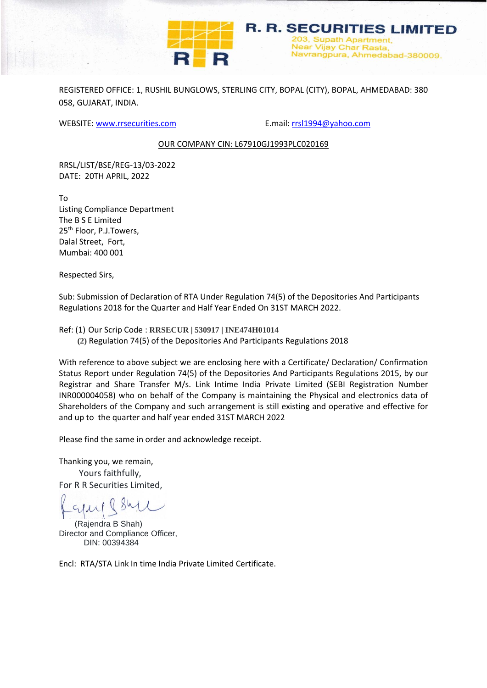

REGISTERED OFFICE: 1, RUSHIL BUNGLOWS, STERLING CITY, BOPAL (CITY), BOPAL, AHMEDABAD: 380 058, GUJARAT, INDIA.

WEBSITE: [www.rrsecurities.com](http://www.rrsecurities.com/) E.mail[: rrsl1994@yahoo.com](mailto:rrsl1994@yahoo.com)

**R. R. SECURITIES LIMITED** 3, Supath Apartment. Near Vijay Char Rasta,

Navrangpura, Ahmedabad-380009.

## OUR COMPANY CIN: L67910GJ1993PLC020169

RRSL/LIST/BSE/REG-13/03-2022 DATE: 20TH APRIL, 2022

To Listing Compliance Department The B S E Limited 25<sup>th</sup> Floor, P.J.Towers, Dalal Street, Fort, Mumbai: 400 001

Respected Sirs,

Sub: Submission of Declaration of RTA Under Regulation 74(5) of the Depositories And Participants Regulations 2018 for the Quarter and Half Year Ended On 31ST MARCH 2022.

Ref: (1) Our Scrip Code : **RRSECUR | 530917 | INE474H01014 (2)** Regulation 74(5) of the Depositories And Participants Regulations 2018

With reference to above subject we are enclosing here with a Certificate/ Declaration/ Confirmation Status Report under Regulation 74(5) of the Depositories And Participants Regulations 2015, by our Registrar and Share Transfer M/s. Link Intime India Private Limited (SEBI Registration Number INR000004058) who on behalf of the Company is maintaining the Physical and electronics data of Shareholders of the Company and such arrangement is still existing and operative and effective for and up to the quarter and half year ended 31ST MARCH 2022

Please find the same in order and acknowledge receipt.

Thanking you, we remain, Yours faithfully, For R R Securities Limited,

 $QSM$ 

 (Rajendra B Shah) Director and Compliance Officer, DIN: 00394384

Encl: RTA/STA Link In time India Private Limited Certificate.